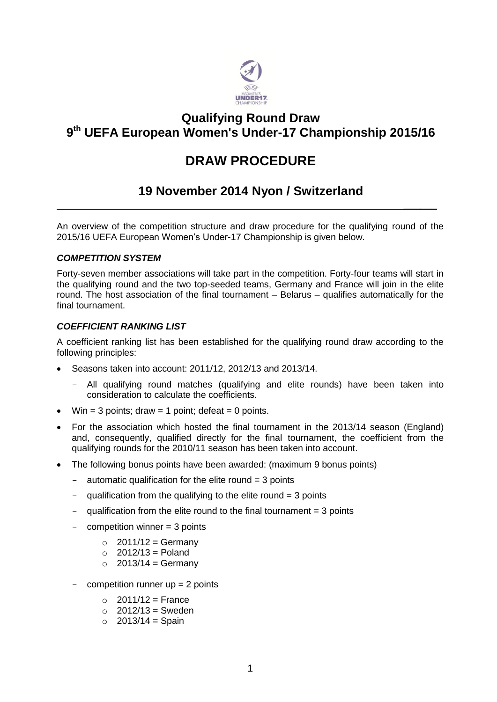

### **Qualifying Round Draw 9 th UEFA European Women's Under-17 Championship 2015/16**

# **DRAW PROCEDURE**

## **19 November 2014 Nyon / Switzerland**

 $\mathcal{L}$ 

An overview of the competition structure and draw procedure for the qualifying round of the 2015/16 UEFA European Women's Under-17 Championship is given below.

### *COMPETITION SYSTEM*

Forty-seven member associations will take part in the competition. Forty-four teams will start in the qualifying round and the two top-seeded teams, Germany and France will join in the elite round. The host association of the final tournament – Belarus – qualifies automatically for the final tournament.

### *COEFFICIENT RANKING LIST*

A coefficient ranking list has been established for the qualifying round draw according to the following principles:

- Seasons taken into account: 2011/12, 2012/13 and 2013/14.
	- All qualifying round matches (qualifying and elite rounds) have been taken into consideration to calculate the coefficients.
- Win = 3 points; draw = 1 point; defeat = 0 points.
- For the association which hosted the final tournament in the 2013/14 season (England) and, consequently, qualified directly for the final tournament, the coefficient from the qualifying rounds for the 2010/11 season has been taken into account.
- The following bonus points have been awarded: (maximum 9 bonus points)
	- automatic qualification for the elite round  $=$  3 points
	- qualification from the qualifying to the elite round  $=$  3 points
	- qualification from the elite round to the final tournament  $=$  3 points
	- $competition winner = 3 points$ 
		- $\circ$  2011/12 = Germany
		- $\circ$  2012/13 = Poland
		- $\circ$  2013/14 = Germany
	- competition runner  $up = 2$  points
		- $\circ$  2011/12 = France
		- $\circ$  2012/13 = Sweden
		- $\circ$  2013/14 = Spain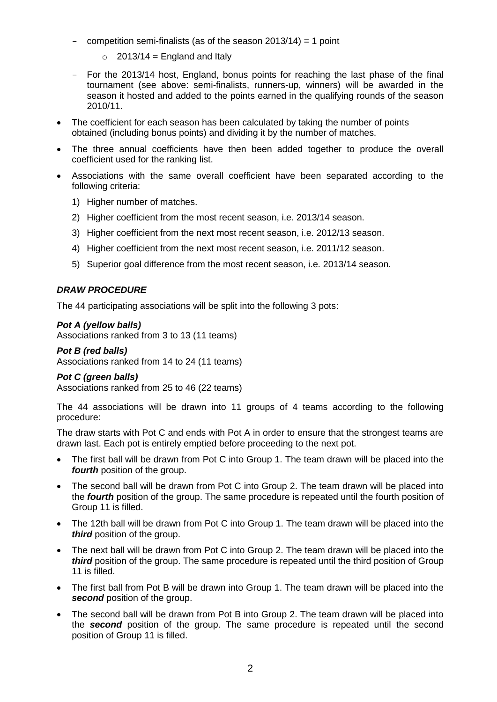- competition semi-finalists (as of the season 2013/14) = 1 point
	- $\circ$  2013/14 = England and Italy
- For the 2013/14 host, England, bonus points for reaching the last phase of the final tournament (see above: semi-finalists, runners-up, winners) will be awarded in the season it hosted and added to the points earned in the qualifying rounds of the season 2010/11.
- The coefficient for each season has been calculated by taking the number of points obtained (including bonus points) and dividing it by the number of matches.
- The three annual coefficients have then been added together to produce the overall coefficient used for the ranking list.
- Associations with the same overall coefficient have been separated according to the following criteria:
	- 1) Higher number of matches.
	- 2) Higher coefficient from the most recent season, i.e. 2013/14 season.
	- 3) Higher coefficient from the next most recent season, i.e. 2012/13 season.
	- 4) Higher coefficient from the next most recent season, i.e. 2011/12 season.
	- 5) Superior goal difference from the most recent season, i.e. 2013/14 season.

### *DRAW PROCEDURE*

The 44 participating associations will be split into the following 3 pots:

#### *Pot A (yellow balls)*

Associations ranked from 3 to 13 (11 teams)

#### *Pot B (red balls)* Associations ranked from 14 to 24 (11 teams)

### *Pot C (green balls)*

Associations ranked from 25 to 46 (22 teams)

The 44 associations will be drawn into 11 groups of 4 teams according to the following procedure:

The draw starts with Pot C and ends with Pot A in order to ensure that the strongest teams are drawn last. Each pot is entirely emptied before proceeding to the next pot.

- The first ball will be drawn from Pot C into Group 1. The team drawn will be placed into the *fourth* position of the group.
- The second ball will be drawn from Pot C into Group 2. The team drawn will be placed into the *fourth* position of the group. The same procedure is repeated until the fourth position of Group 11 is filled.
- The 12th ball will be drawn from Pot C into Group 1. The team drawn will be placed into the *third* position of the group.
- The next ball will be drawn from Pot C into Group 2. The team drawn will be placed into the *third* position of the group. The same procedure is repeated until the third position of Group 11 is filled.
- The first ball from Pot B will be drawn into Group 1. The team drawn will be placed into the *second* position of the group.
- The second ball will be drawn from Pot B into Group 2. The team drawn will be placed into the *second* position of the group. The same procedure is repeated until the second position of Group 11 is filled.